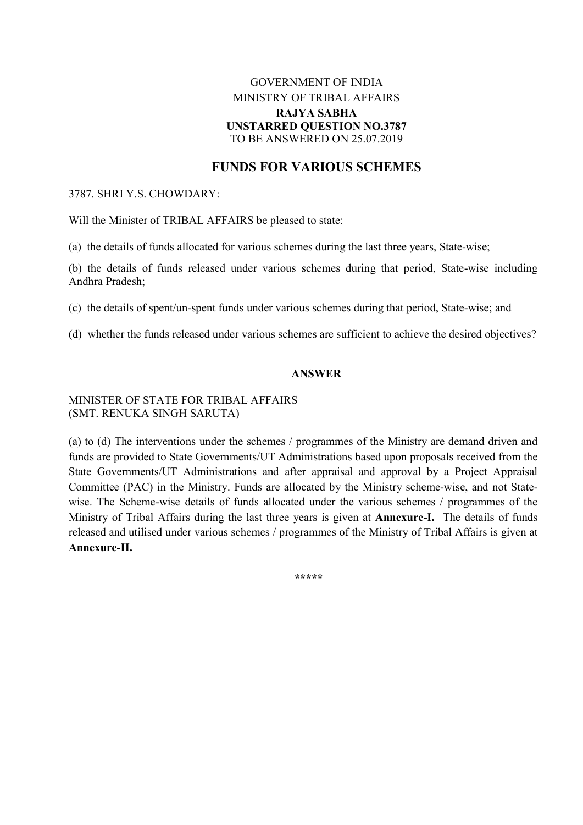## GOVERNMENT OF INDIA MINISTRY OF TRIBAL AFFAIRS RAJYA SABHA UNSTARRED QUESTION NO.3787 TO BE ANSWERED ON 25.07.2019

# FUNDS FOR VARIOUS SCHEMES

#### 3787. SHRI Y.S. CHOWDARY:

Will the Minister of TRIBAL AFFAIRS be pleased to state:

(a) the details of funds allocated for various schemes during the last three years, State-wise;

(b) the details of funds released under various schemes during that period, State-wise including Andhra Pradesh;

(c) the details of spent/un-spent funds under various schemes during that period, State-wise; and

(d) whether the funds released under various schemes are sufficient to achieve the desired objectives?

### ANSWER

### MINISTER OF STATE FOR TRIBAL AFFAIRS (SMT. RENUKA SINGH SARUTA)

(a) to (d) The interventions under the schemes / programmes of the Ministry are demand driven and funds are provided to State Governments/UT Administrations based upon proposals received from the State Governments/UT Administrations and after appraisal and approval by a Project Appraisal Committee (PAC) in the Ministry. Funds are allocated by the Ministry scheme-wise, and not Statewise. The Scheme-wise details of funds allocated under the various schemes / programmes of the Ministry of Tribal Affairs during the last three years is given at Annexure-I. The details of funds released and utilised under various schemes / programmes of the Ministry of Tribal Affairs is given at Annexure-II.

\*\*\*\*\*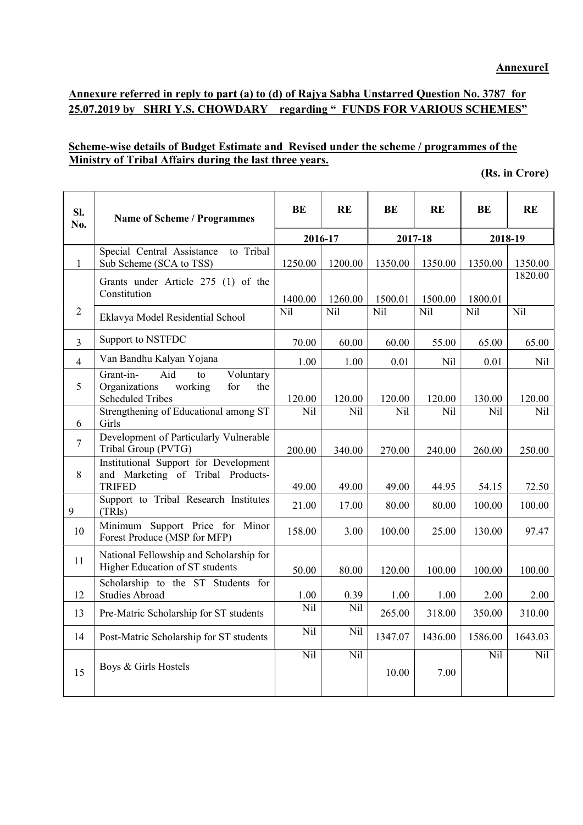# Annexure referred in reply to part (a) to (d) of Rajya Sabha Unstarred Question No. 3787 for 25.07.2019 by SHRI Y.S. CHOWDARY regarding " FUNDS FOR VARIOUS SCHEMES"

### Scheme-wise details of Budget Estimate and Revised under the scheme / programmes of the Ministry of Tribal Affairs during the last three years.

|  | (Rs. in Crore) |
|--|----------------|
|--|----------------|

| SI.<br>No.     | <b>Name of Scheme / Programmes</b>                                                                                   | BE      | RE      | BE      | RE      |         | <b>RE</b> |
|----------------|----------------------------------------------------------------------------------------------------------------------|---------|---------|---------|---------|---------|-----------|
|                |                                                                                                                      |         | 2016-17 |         | 2017-18 |         | 2018-19   |
| 1              | Special Central Assistance<br>to Tribal<br>Sub Scheme (SCA to TSS)                                                   | 1250.00 | 1200.00 | 1350.00 | 1350.00 | 1350.00 | 1350.00   |
|                | Grants under Article 275 (1) of the<br>Constitution                                                                  | 1400.00 | 1260.00 | 1500.01 | 1500.00 | 1800.01 | 1820.00   |
| $\overline{2}$ | Eklavya Model Residential School                                                                                     | Nil     | Nil     | Nil     | Nil     | Nil     | Nil       |
| $\overline{3}$ | Support to NSTFDC                                                                                                    | 70.00   | 60.00   | 60.00   | 55.00   | 65.00   | 65.00     |
| $\overline{4}$ | Van Bandhu Kalyan Yojana                                                                                             | 1.00    | 1.00    | 0.01    | Nil     | 0.01    | Nil       |
| 5              | Aid<br>Voluntary<br>Grant-in-<br>$\overline{a}$<br>Organizations<br>working<br>for<br>the<br><b>Scheduled Tribes</b> | 120.00  | 120.00  | 120.00  | 120.00  | 130.00  | 120.00    |
| 6              | Strengthening of Educational among ST<br>Girls                                                                       | Nil     | Nil     | Nil     | Nil     | Nil     | Nil.      |
| $\overline{7}$ | Development of Particularly Vulnerable<br>Tribal Group (PVTG)                                                        | 200.00  | 340.00  | 270.00  | 240.00  | 260.00  | 250.00    |
| 8              | Institutional Support for Development<br>and Marketing of Tribal Products-<br><b>TRIFED</b>                          | 49.00   | 49.00   | 49.00   | 44.95   | 54.15   | 72.50     |
| 9              | Support to Tribal Research Institutes<br>(TRIs)                                                                      | 21.00   | 17.00   | 80.00   | 80.00   | 100.00  | 100.00    |
| 10             | Minimum Support Price for Minor<br>Forest Produce (MSP for MFP)                                                      | 158.00  | 3.00    | 100.00  | 25.00   | 130.00  | 97.47     |
| 11             | National Fellowship and Scholarship for<br>Higher Education of ST students                                           | 50.00   | 80.00   | 120.00  | 100.00  | 100.00  | 100.00    |
| 12             | Scholarship to the ST Students for<br>Studies Abroad                                                                 | 1.00    | 0.39    | 1.00    | 1.00    | 2.00    | 2.00      |
| 13             | Pre-Matric Scholarship for ST students                                                                               | Nil     | Nil     | 265.00  | 318.00  | 350.00  | 310.00    |
| 14             | Post-Matric Scholarship for ST students                                                                              | Nil     | Nil     | 1347.07 | 1436.00 | 1586.00 | 1643.03   |
| 15             | Boys & Girls Hostels                                                                                                 | Nil     | Nil     | 10.00   | 7.00    | Nil     | Nil       |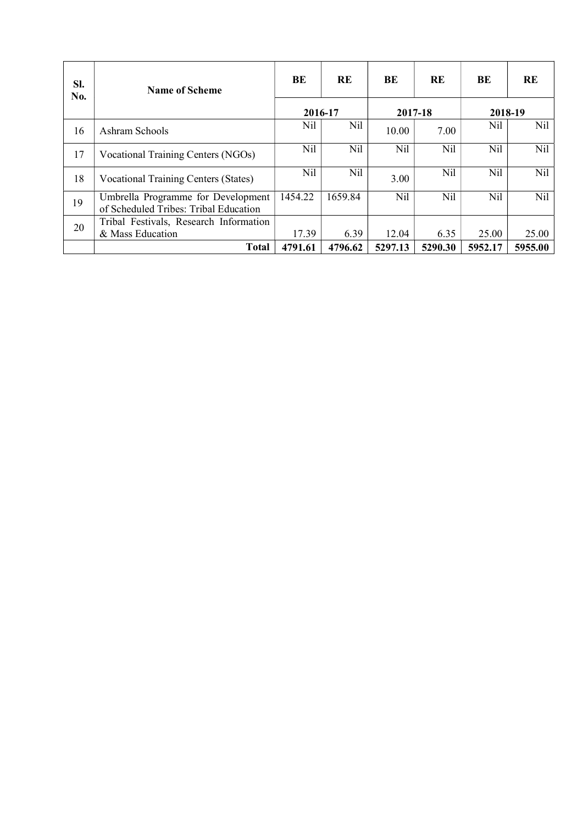| SI.<br>No. | <b>Name of Scheme</b>                                                       | BE      | <b>RE</b> | BE      | <b>RE</b> | BE      | RE      |  |
|------------|-----------------------------------------------------------------------------|---------|-----------|---------|-----------|---------|---------|--|
|            |                                                                             | 2016-17 |           | 2017-18 |           | 2018-19 |         |  |
| 16         | Ashram Schools                                                              | Nil     | Nil       | 10.00   | 7.00      | Nil     | Nil     |  |
| 17         | Vocational Training Centers (NGOs)                                          | Nil     | Nil       | Nil     | Nil       | Nil     | Nil     |  |
| 18         | Vocational Training Centers (States)                                        | Nil     | Nil       | 3.00    | Nil       | Nil     | Nil     |  |
| 19         | Umbrella Programme for Development<br>of Scheduled Tribes: Tribal Education | 1454.22 | 1659.84   | Nil     | Nil       | Nil     | Nil     |  |
| 20         | Tribal Festivals, Research Information                                      |         |           |         |           |         |         |  |
|            | & Mass Education                                                            | 17.39   | 6.39      | 12.04   | 6.35      | 25.00   | 25.00   |  |
|            | <b>Total</b>                                                                | 4791.61 | 4796.62   | 5297.13 | 5290.30   | 5952.17 | 5955.00 |  |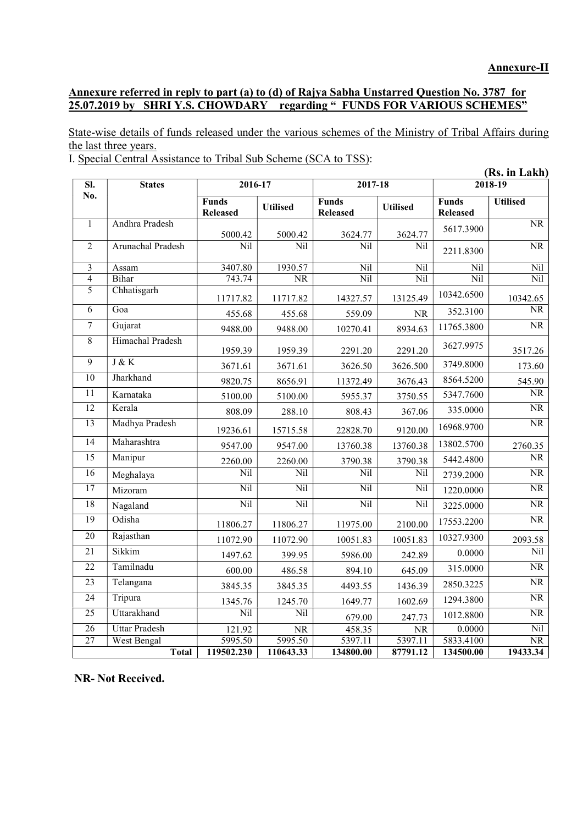### Annexure referred in reply to part (a) to (d) of Rajya Sabha Unstarred Question No. 3787 for 25.07.2019 by SHRI Y.S. CHOWDARY regarding " FUNDS FOR VARIOUS SCHEMES"

State-wise details of funds released under the various schemes of the Ministry of Tribal Affairs during the last three years.

I. Special Central Assistance to Tribal Sub Scheme (SCA to TSS):

|                 |                      | (Rs. in Lakh)                   |                        |                                 |                 |                                 |                        |
|-----------------|----------------------|---------------------------------|------------------------|---------------------------------|-----------------|---------------------------------|------------------------|
| SI.             | <b>States</b>        | 2016-17                         |                        | 2017-18                         |                 |                                 | 2018-19                |
| No.             |                      | <b>Funds</b><br><b>Released</b> | <b>Utilised</b>        | <b>Funds</b><br><b>Released</b> | <b>Utilised</b> | <b>Funds</b><br><b>Released</b> | <b>Utilised</b>        |
| $\mathbf{1}$    | Andhra Pradesh       | 5000.42                         | 5000.42                | 3624.77                         | 3624.77         | 5617.3900                       | <b>NR</b>              |
| $\overline{2}$  | Arunachal Pradesh    | Nil                             | Nil                    | Nil                             | Nil             | 2211.8300                       | $\overline{\text{NR}}$ |
| 3               | Assam                | 3407.80                         | 1930.57                | Nil                             | Nil             | Nil                             | Nil                    |
| $\overline{4}$  | Bihar                | 743.74                          | $\overline{\text{NR}}$ | Nil                             | Nil             | Nil                             | Nil                    |
| 5               | Chhatisgarh          | 11717.82                        | 11717.82               | 14327.57                        | 13125.49        | 10342.6500                      | 10342.65               |
| 6               | Goa                  | 455.68                          | 455.68                 | 559.09                          | NR              | 352.3100                        | $\overline{\text{NR}}$ |
| $\overline{7}$  | Gujarat              | 9488.00                         | 9488.00                | 10270.41                        | 8934.63         | 11765.3800                      | $\overline{\text{NR}}$ |
| $\overline{8}$  | Himachal Pradesh     | 1959.39                         | 1959.39                | 2291.20                         | 2291.20         | 3627.9975                       | 3517.26                |
| $\overline{9}$  | J & K                | 3671.61                         | 3671.61                | 3626.50                         | 3626.500        | 3749.8000                       | 173.60                 |
| 10              | Jharkhand            | 9820.75                         | 8656.91                | 11372.49                        | 3676.43         | 8564.5200                       | 545.90                 |
| 11              | Karnataka            | 5100.00                         | 5100.00                | 5955.37                         | 3750.55         | 5347.7600                       | NR                     |
| 12              | Kerala               | 808.09                          | 288.10                 | 808.43                          | 367.06          | 335.0000                        | $\rm NR$               |
| $\overline{13}$ | Madhya Pradesh       | 19236.61                        | 15715.58               | 22828.70                        | 9120.00         | 16968.9700                      | $\overline{\text{NR}}$ |
| 14              | Maharashtra          | 9547.00                         | 9547.00                | 13760.38                        | 13760.38        | 13802.5700                      | 2760.35                |
| $\overline{15}$ | Manipur              | 2260.00                         | 2260.00                | 3790.38                         | 3790.38         | 5442.4800                       | NR                     |
| $\overline{16}$ | Meghalaya            | Nil                             | Nil                    | Nil                             | Nil             | 2739.2000                       | $\overline{\text{NR}}$ |
| $\overline{17}$ | Mizoram              | Nil                             | Nil                    | Nil                             | Nil             | 1220.0000                       | $\overline{\text{NR}}$ |
| $\overline{18}$ | Nagaland             | Nil                             | Nil                    | Nil                             | Nil             | 3225.0000                       | NR                     |
| $\overline{19}$ | Odisha               | 11806.27                        | 11806.27               | 11975.00                        | 2100.00         | 17553.2200                      | $\overline{\text{NR}}$ |
| 20              | Rajasthan            | 11072.90                        | 11072.90               | 10051.83                        | 10051.83        | 10327.9300                      | 2093.58                |
| $\overline{21}$ | Sikkim               | 1497.62                         | 399.95                 | 5986.00                         | 242.89          | 0.0000                          | Nil                    |
| $\overline{22}$ | Tamilnadu            | 600.00                          | 486.58                 | 894.10                          | 645.09          | 315.0000                        | $\overline{\text{NR}}$ |
| 23              | Telangana            | 3845.35                         | 3845.35                | 4493.55                         | 1436.39         | 2850.3225                       | $\overline{\text{NR}}$ |
| $\overline{24}$ | Tripura              | 1345.76                         | 1245.70                | 1649.77                         | 1602.69         | 1294.3800                       | $\overline{\text{NR}}$ |
| 25              | Uttarakhand          | Nil                             | Nil                    | 679.00                          | 247.73          | 1012.8800                       | $\overline{\text{NR}}$ |
| 26              | <b>Uttar Pradesh</b> | 121.92                          | <b>NR</b>              | 458.35                          | NR              | 0.0000                          | Nil                    |
| $\overline{27}$ | West Bengal          | 5995.50                         | 5995.50                | 5397.11                         | 5397.11         | 5833.4100                       | $\overline{\text{NR}}$ |
|                 | <b>Total</b>         | 119502.230                      | 110643.33              | 134800.00                       | 87791.12        | 134500.00                       | 19433.34               |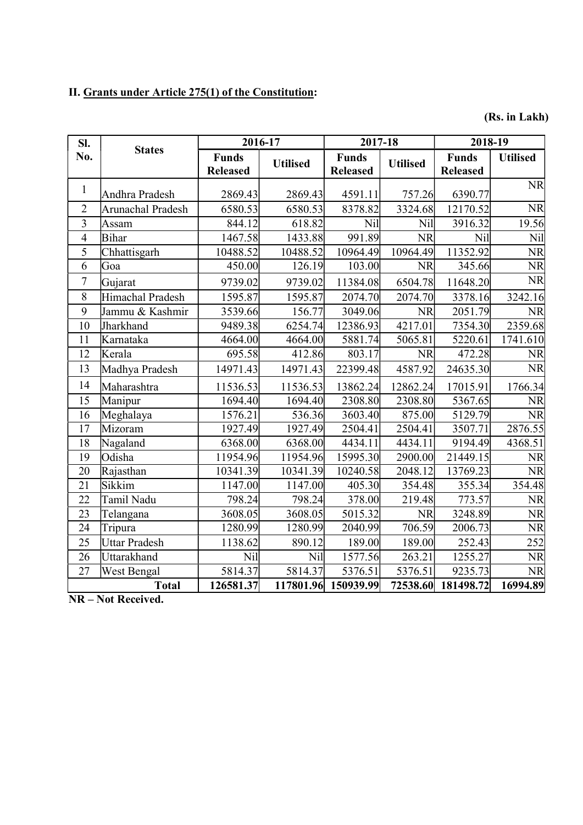# II. Grants under Article 275(1) of the Constitution:

(Rs. in Lakh)

| SI.             |                      |                                 | 2016-17         | 2017-18                         |                 | 2018-19                         |                 |
|-----------------|----------------------|---------------------------------|-----------------|---------------------------------|-----------------|---------------------------------|-----------------|
| No.             | <b>States</b>        | <b>Funds</b><br><b>Released</b> | <b>Utilised</b> | <b>Funds</b><br><b>Released</b> | <b>Utilised</b> | <b>Funds</b><br><b>Released</b> | <b>Utilised</b> |
| $\mathbf{1}$    | Andhra Pradesh       | 2869.43                         | 2869.43         | 4591.11                         | 757.26          | 6390.77                         | <b>NR</b>       |
| $\overline{2}$  | Arunachal Pradesh    | 6580.53                         | 6580.53         | 8378.82                         | 3324.68         | 12170.52                        | <b>NR</b>       |
| $\overline{3}$  | Assam                | 844.12                          | 618.82          | Nil                             | Nil             | 3916.32                         | 19.56           |
| $\overline{4}$  | Bihar                | 1467.58                         | 1433.88         | 991.89                          | <b>NR</b>       | Nil                             | Nil             |
| 5               | Chhattisgarh         | 10488.52                        | 10488.52        | 10964.49                        | 10964.49        | 11352.92                        | <b>NR</b>       |
| 6               | Goa                  | 450.00                          | 126.19          | 103.00                          | <b>NR</b>       | 345.66                          | <b>NR</b>       |
| $\overline{7}$  | Gujarat              | 9739.02                         | 9739.02         | 11384.08                        | 6504.78         | 11648.20                        | <b>NR</b>       |
| 8               | Himachal Pradesh     | 1595.87                         | 1595.87         | 2074.70                         | 2074.70         | 3378.16                         | 3242.16         |
| 9               | Jammu & Kashmir      | 3539.66                         | 156.77          | 3049.06                         | <b>NR</b>       | 2051.79                         | <b>NR</b>       |
| 10              | Jharkhand            | 9489.38                         | 6254.74         | 12386.93                        | 4217.01         | 7354.30                         | 2359.68         |
| 11              | Karnataka            | 4664.00                         | 4664.00         | 5881.74                         | 5065.81         | 5220.61                         | 1741.610        |
| 12              | Kerala               | 695.58                          | 412.86          | 803.17                          | <b>NR</b>       | 472.28                          | <b>NR</b>       |
| 13              | Madhya Pradesh       | 14971.43                        | 14971.43        | 22399.48                        | 4587.92         | 24635.30                        | <b>NR</b>       |
| 14              | Maharashtra          | 11536.53                        | 11536.53        | 13862.24                        | 12862.24        | 17015.91                        | 1766.34         |
| 15              | Manipur              | $\overline{1694.40}$            | 1694.40         | 2308.80                         | 2308.80         | 5367.65                         | <b>NR</b>       |
| 16              | Meghalaya            | 1576.21                         | 536.36          | 3603.40                         | 875.00          | 5129.79                         | <b>NR</b>       |
| 17              | Mizoram              | 1927.49                         | 1927.49         | 2504.41                         | 2504.41         | 3507.71                         | 2876.55         |
| 18              | Nagaland             | 6368.00                         | 6368.00         | 4434.11                         | 4434.11         | 9194.49                         | 4368.51         |
| 19              | Odisha               | 11954.96                        | 11954.96        | 15995.30                        | 2900.00         | 21449.15                        | <b>NR</b>       |
| 20              | Rajasthan            | 10341.39                        | 10341.39        | 10240.58                        | 2048.12         | 13769.23                        | <b>NR</b>       |
| 21              | Sikkim               | 1147.00                         | 1147.00         | 405.30                          | 354.48          | 355.34                          | 354.48          |
| 22              | Tamil Nadu           | 798.24                          | 798.24          | 378.00                          | 219.48          | 773.57                          | <b>NR</b>       |
| 23              | Telangana            | 3608.05                         | 3608.05         | 5015.32                         | <b>NR</b>       | 3248.89                         | <b>NR</b>       |
| $\overline{24}$ | Tripura              | 1280.99                         | 1280.99         | 2040.99                         | 706.59          | 2006.73                         | <b>NR</b>       |
| 25              | <b>Uttar Pradesh</b> | 1138.62                         | 890.12          | 189.00                          | 189.00          | 252.43                          | 252             |
| 26              | Uttarakhand          | Nil                             | Nil             | 1577.56                         | 263.21          | 1255.27                         | <b>NR</b>       |
| 27              | West Bengal          | 5814.37                         | 5814.37         | 5376.51                         | 5376.51         | 9235.73                         | <b>NR</b>       |
|                 | <b>Total</b>         | 126581.37                       | 117801.96       | 150939.99                       | 72538.60        | 181498.72                       | 16994.89        |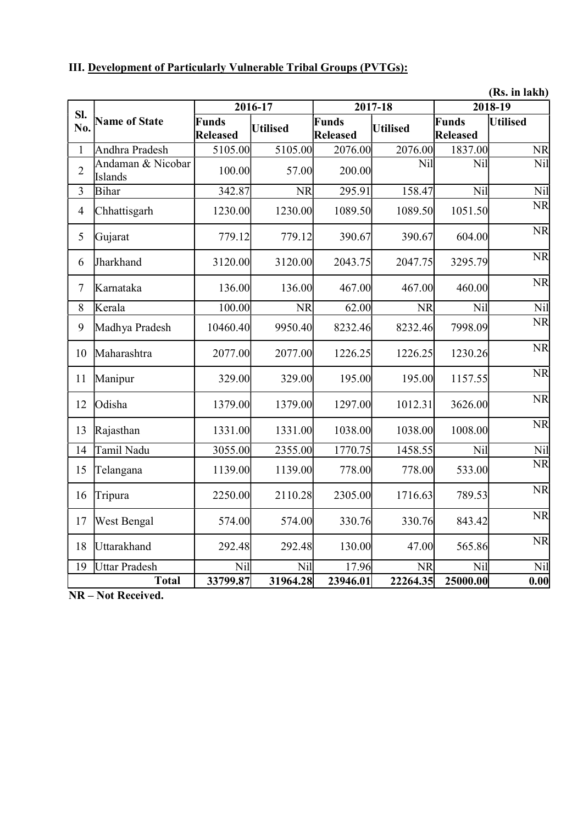| III. Development of Particularly Vulnerable Tribal Groups (PVTGs): |  |
|--------------------------------------------------------------------|--|
|--------------------------------------------------------------------|--|

(Rs. in lakh)

|                  |                              |                                 | 2016-17         |                          | 2017-18         |                          | <b>(119) пр. напа</b><br>2018-19 |
|------------------|------------------------------|---------------------------------|-----------------|--------------------------|-----------------|--------------------------|----------------------------------|
| SI.<br>No.       | <b>Name of State</b>         | <b>Funds</b><br><b>Released</b> | <b>Utilised</b> | Funds<br><b>Released</b> | <b>Utilised</b> | Funds<br><b>Released</b> | <b>Utilised</b>                  |
| $\mathbf{1}$     | Andhra Pradesh               | $\overline{5}105.00$            | 5105.00         | 2076.00                  | 2076.00         | 1837.00                  | <b>NR</b>                        |
| $\overline{2}$   | Andaman & Nicobar<br>Islands | 100.00                          | 57.00           | 200.00                   | Nil             | Nil                      | Nil                              |
| $\overline{3}$   | <b>Bihar</b>                 | 342.87                          | <b>NR</b>       | 295.91                   | 158.47          | Nil                      | Nil                              |
| $\overline{4}$   | Chhattisgarh                 | 1230.00                         | 1230.00         | 1089.50                  | 1089.50         | 1051.50                  | <b>NR</b>                        |
| 5                | Gujarat                      | 779.12                          | 779.12          | 390.67                   | 390.67          | 604.00                   | <b>NR</b>                        |
| 6                | Jharkhand                    | 3120.00                         | 3120.00         | 2043.75                  | 2047.75         | 3295.79                  | <b>NR</b>                        |
| $\boldsymbol{7}$ | Karnataka                    | 136.00                          | 136.00          | 467.00                   | 467.00          | 460.00                   | <b>NR</b>                        |
| $\,8\,$          | Kerala                       | 100.00                          | <b>NR</b>       | 62.00                    | <b>NR</b>       | Nil                      | Nil                              |
| 9                | Madhya Pradesh               | 10460.40                        | 9950.40         | 8232.46                  | 8232.46         | 7998.09                  | <b>NR</b>                        |
| 10               | Maharashtra                  | 2077.00                         | 2077.00         | 1226.25                  | 1226.25         | 1230.26                  | <b>NR</b>                        |
| 11               | Manipur                      | 329.00                          | 329.00          | 195.00                   | 195.00          | 1157.55                  | <b>NR</b>                        |
| 12               | Odisha                       | 1379.00                         | 1379.00         | 1297.00                  | 1012.31         | 3626.00                  | <b>NR</b>                        |
| 13               | Rajasthan                    | 1331.00                         | 1331.00         | 1038.00                  | 1038.00         | 1008.00                  | <b>NR</b>                        |
| 14               | Tamil Nadu                   | 3055.00                         | 2355.00         | 1770.75                  | 1458.55         | Nil                      | Nil                              |
| 15               | Telangana                    | 1139.00                         | 1139.00         | 778.00                   | 778.00          | 533.00                   | <b>NR</b>                        |
| 16               | Tripura                      | 2250.00                         | 2110.28         | 2305.00                  | 1716.63         | 789.53                   | <b>NR</b>                        |
| 17               | West Bengal                  | 574.00                          | 574.00          | 330.76                   | 330.76          | 843.42                   | <b>NR</b>                        |
| 18               | Uttarakhand                  | 292.48                          | 292.48          | 130.00                   | 47.00           | 565.86                   | <b>NR</b>                        |
| 19               | <b>Uttar Pradesh</b>         | Nil                             | Nil             | 17.96                    | NR              | Nil                      | Nil                              |
|                  | <b>Total</b>                 | 33799.87                        | 31964.28        | 23946.01                 | 22264.35        | 25000.00                 | 0.00                             |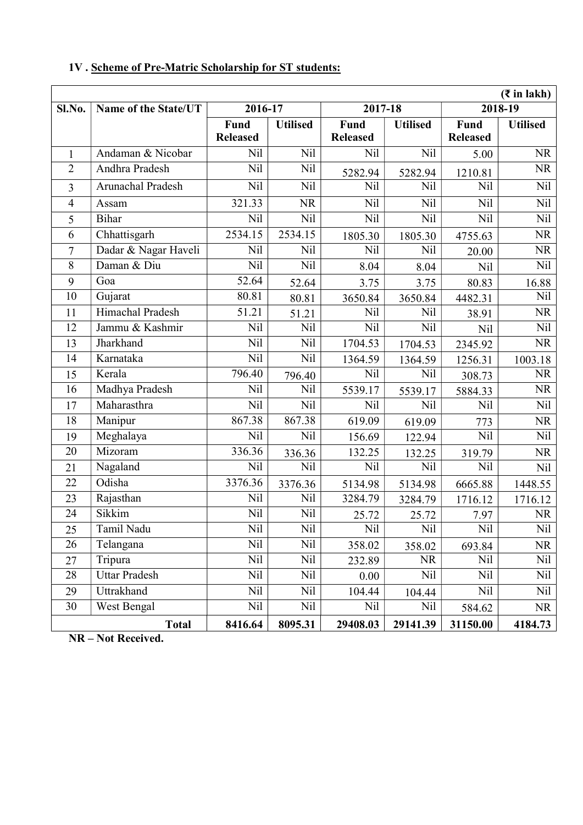|                | $(3\overline{5})$ in lakh) |                         |                 |                         |                 |                         |                 |  |  |  |  |  |
|----------------|----------------------------|-------------------------|-----------------|-------------------------|-----------------|-------------------------|-----------------|--|--|--|--|--|
| Sl.No.         | Name of the State/UT       | 2016-17                 |                 | 2017-18                 |                 |                         | 2018-19         |  |  |  |  |  |
|                |                            | Fund<br><b>Released</b> | <b>Utilised</b> | Fund<br><b>Released</b> | <b>Utilised</b> | Fund<br><b>Released</b> | <b>Utilised</b> |  |  |  |  |  |
| 1              | Andaman & Nicobar          | <b>Nil</b>              | Nil             | Nil                     | Nil             | 5.00                    | <b>NR</b>       |  |  |  |  |  |
| $\overline{2}$ | Andhra Pradesh             | Nil                     | Nil             | 5282.94                 | 5282.94         | 1210.81                 | <b>NR</b>       |  |  |  |  |  |
| $\overline{3}$ | Arunachal Pradesh          | Nil                     | Nil             | Nil                     | Nil             | <b>Nil</b>              | Nil             |  |  |  |  |  |
| $\overline{4}$ | Assam                      | 321.33                  | <b>NR</b>       | Nil                     | Nil             | <b>Nil</b>              | Nil             |  |  |  |  |  |
| 5              | <b>Bihar</b>               | Nil                     | Nil             | Nil                     | Nil             | Nil                     | Nil             |  |  |  |  |  |
| 6              | Chhattisgarh               | 2534.15                 | 2534.15         | 1805.30                 | 1805.30         | 4755.63                 | <b>NR</b>       |  |  |  |  |  |
| $\overline{7}$ | Dadar & Nagar Haveli       | Nil                     | Nil             | Nil                     | Nil             | 20.00                   | <b>NR</b>       |  |  |  |  |  |
| 8              | Daman & Diu                | Nil                     | Nil             | 8.04                    | 8.04            | <b>Nil</b>              | Nil             |  |  |  |  |  |
| 9              | Goa                        | 52.64                   | 52.64           | 3.75                    | 3.75            | 80.83                   | 16.88           |  |  |  |  |  |
| 10             | Gujarat                    | 80.81                   | 80.81           | 3650.84                 | 3650.84         | 4482.31                 | Nil             |  |  |  |  |  |
| 11             | Himachal Pradesh           | 51.21                   | 51.21           | Nil                     | Nil             | 38.91                   | <b>NR</b>       |  |  |  |  |  |
| 12             | Jammu & Kashmir            | <b>Nil</b>              | Nil             | Nil<br><b>Nil</b>       |                 | <b>Nil</b>              | Nil             |  |  |  |  |  |
| 13             | Jharkhand                  | Nil                     | Nil             | 1704.53                 | 1704.53         | 2345.92                 | <b>NR</b>       |  |  |  |  |  |
| 14             | Karnataka                  | Nil                     | Nil             | 1364.59                 | 1364.59         | 1256.31                 | 1003.18         |  |  |  |  |  |
| 15             | Kerala                     | 796.40                  | 796.40          | Nil                     | Nil             | 308.73                  | NR              |  |  |  |  |  |
| 16             | Madhya Pradesh             | Nil                     | Nil             | 5539.17                 | 5539.17         | 5884.33                 | <b>NR</b>       |  |  |  |  |  |
| 17             | Maharasthra                | Nil                     | Nil             | Nil                     | Nil             | <b>Nil</b>              | Nil             |  |  |  |  |  |
| 18             | Manipur                    | 867.38                  | 867.38          | 619.09                  | 619.09          | 773                     | <b>NR</b>       |  |  |  |  |  |
| 19             | Meghalaya                  | Nil                     | Nil             | 156.69                  | 122.94          | Nil                     | Nil             |  |  |  |  |  |
| 20             | Mizoram                    | 336.36                  | 336.36          | 132.25                  | 132.25          | 319.79                  | NR              |  |  |  |  |  |
| 21             | Nagaland                   | Nil                     | Nil             | Nil                     | Nil             | <b>Nil</b>              | Nil             |  |  |  |  |  |
| 22             | Odisha                     | 3376.36                 | 3376.36         | 5134.98                 | 5134.98         | 6665.88                 | 1448.55         |  |  |  |  |  |
| 23             | Rajasthan                  | <b>Nil</b>              | Nil             | 3284.79                 | 3284.79         | 1716.12                 | 1716.12         |  |  |  |  |  |
| 24             | Sikkim                     | Nil                     | Nil             | 25.72                   | 25.72           | 7.97                    | <b>NR</b>       |  |  |  |  |  |
| 25             | Tamil Nadu                 | Nil                     | Nil             | Nil                     | Nil             | Nil                     | Nil             |  |  |  |  |  |
| 26             | Telangana                  | Nil                     | Nil             | 358.02                  | 358.02          | 693.84                  | NR              |  |  |  |  |  |
| 27             | Tripura                    | Nil                     | Nil             | 232.89                  | <b>NR</b>       | Nil                     | Nil             |  |  |  |  |  |
| 28             | <b>Uttar Pradesh</b>       | Nil                     | Nil             | 0.00                    | Nil             | <b>Nil</b>              | Nil             |  |  |  |  |  |
| 29             | Uttrakhand                 | Nil                     | Nil             | 104.44                  | 104.44          | Nil                     | Nil             |  |  |  |  |  |
| 30             | West Bengal                | Nil                     | Nil             | Nil                     | Nil             | 584.62                  | <b>NR</b>       |  |  |  |  |  |
|                | <b>Total</b>               | 8416.64                 | 8095.31         | 29408.03                | 29141.39        | 31150.00                | 4184.73         |  |  |  |  |  |

# 1V . Scheme of Pre-Matric Scholarship for ST students: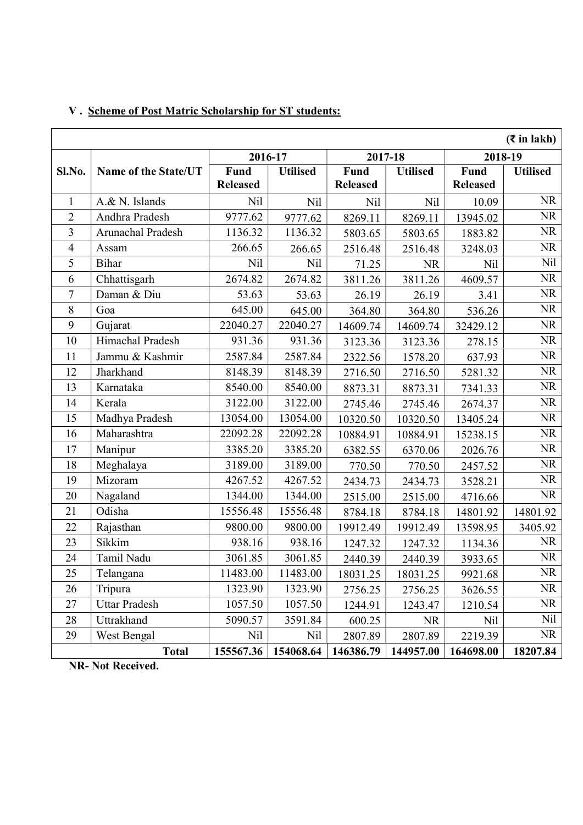|                          | $(3\overline{5})$ in lakh) |                         |                 |                         |                 |                         |                 |  |  |  |  |  |
|--------------------------|----------------------------|-------------------------|-----------------|-------------------------|-----------------|-------------------------|-----------------|--|--|--|--|--|
|                          |                            | 2016-17                 |                 |                         | 2017-18         | 2018-19                 |                 |  |  |  |  |  |
| Sl.No.                   | Name of the State/UT       | Fund<br><b>Released</b> | <b>Utilised</b> | Fund<br><b>Released</b> | <b>Utilised</b> | Fund<br><b>Released</b> | <b>Utilised</b> |  |  |  |  |  |
| $\mathbf{1}$             | A.& N. Islands             | Nil                     | Nil             | Nil                     | <b>Nil</b>      | 10.09                   | <b>NR</b>       |  |  |  |  |  |
| $\overline{2}$           | Andhra Pradesh             | 9777.62                 | 9777.62         | 8269.11                 | 8269.11         | 13945.02                | <b>NR</b>       |  |  |  |  |  |
| 3                        | Arunachal Pradesh          | 1136.32                 | 1136.32         | 5803.65                 | 5803.65         | 1883.82                 | <b>NR</b>       |  |  |  |  |  |
| $\overline{\mathcal{A}}$ | Assam                      | 266.65                  | 266.65          | 2516.48                 | 2516.48         | 3248.03                 | <b>NR</b>       |  |  |  |  |  |
| 5                        | Bihar                      | Nil                     | Nil             | 71.25                   | <b>NR</b>       | Nil                     | <b>Nil</b>      |  |  |  |  |  |
| 6                        | Chhattisgarh               | 2674.82                 | 2674.82         | 3811.26                 | 3811.26         | 4609.57                 | <b>NR</b>       |  |  |  |  |  |
| 7                        | Daman & Diu                | 53.63                   | 53.63           | 26.19                   | 26.19           | 3.41                    | <b>NR</b>       |  |  |  |  |  |
| 8                        | Goa                        | 645.00                  | 645.00          | 364.80                  | 364.80          | 536.26                  | <b>NR</b>       |  |  |  |  |  |
| 9                        | Gujarat                    | 22040.27                | 22040.27        | 14609.74                | 14609.74        | 32429.12                | <b>NR</b>       |  |  |  |  |  |
| 10                       | Himachal Pradesh           | 931.36                  | 931.36          | 3123.36                 | 3123.36         | 278.15                  | <b>NR</b>       |  |  |  |  |  |
| 11                       | Jammu & Kashmir            | 2587.84                 | 2587.84         | 2322.56                 | 1578.20         | 637.93                  | <b>NR</b>       |  |  |  |  |  |
| 12                       | Jharkhand                  | 8148.39                 | 8148.39         | 2716.50                 | 2716.50         | 5281.32                 | <b>NR</b>       |  |  |  |  |  |
| 13                       | Karnataka                  | 8540.00                 | 8540.00         | 8873.31                 | 8873.31         | 7341.33                 | <b>NR</b>       |  |  |  |  |  |
| 14                       | Kerala                     | 3122.00                 | 3122.00         | 2745.46                 | 2745.46         | 2674.37                 | <b>NR</b>       |  |  |  |  |  |
| 15                       | Madhya Pradesh             | 13054.00                | 13054.00        | 10320.50                | 10320.50        | 13405.24                | <b>NR</b>       |  |  |  |  |  |
| 16                       | Maharashtra                | 22092.28                | 22092.28        | 10884.91                | 10884.91        | 15238.15                | <b>NR</b>       |  |  |  |  |  |
| 17                       | Manipur                    | 3385.20                 | 3385.20         | 6382.55                 | 6370.06         | 2026.76                 | <b>NR</b>       |  |  |  |  |  |
| 18                       | Meghalaya                  | 3189.00                 | 3189.00         | 770.50                  | 770.50          | 2457.52                 | <b>NR</b>       |  |  |  |  |  |
| 19                       | Mizoram                    | 4267.52                 | 4267.52         | 2434.73                 | 2434.73         | 3528.21                 | <b>NR</b>       |  |  |  |  |  |
| 20                       | Nagaland                   | 1344.00                 | 1344.00         | 2515.00                 | 2515.00         | 4716.66                 | <b>NR</b>       |  |  |  |  |  |
| 21                       | Odisha                     | 15556.48                | 15556.48        | 8784.18                 | 8784.18         | 14801.92                | 14801.92        |  |  |  |  |  |
| 22                       | Rajasthan                  | 9800.00                 | 9800.00         | 19912.49                | 19912.49        | 13598.95                | 3405.92         |  |  |  |  |  |
| 23                       | Sikkim                     | 938.16                  | 938.16          | 1247.32                 | 1247.32         | 1134.36                 | NR              |  |  |  |  |  |
| 24                       | Tamil Nadu                 | 3061.85                 | 3061.85         | 2440.39                 | 2440.39         | 3933.65                 | <b>NR</b>       |  |  |  |  |  |
| 25                       | Telangana                  | 11483.00                | 11483.00        | 18031.25                | 18031.25        | 9921.68                 | <b>NR</b>       |  |  |  |  |  |
| 26                       | Tripura                    | 1323.90                 | 1323.90         | 2756.25                 | 2756.25         | 3626.55                 | <b>NR</b>       |  |  |  |  |  |
| 27                       | <b>Uttar Pradesh</b>       | 1057.50                 | 1057.50         | 1244.91                 | 1243.47         | 1210.54                 | NR              |  |  |  |  |  |
| 28                       | Uttrakhand                 | 5090.57                 | 3591.84         | 600.25                  | <b>NR</b>       | Nil                     | Nil             |  |  |  |  |  |
| 29                       | West Bengal                | Nil                     | Nil             | 2807.89                 | 2807.89         | 2219.39                 | <b>NR</b>       |  |  |  |  |  |
|                          | <b>Total</b>               | 155567.36               | 154068.64       | 146386.79               | 144957.00       | 164698.00               | 18207.84        |  |  |  |  |  |

# V . Scheme of Post Matric Scholarship for ST students: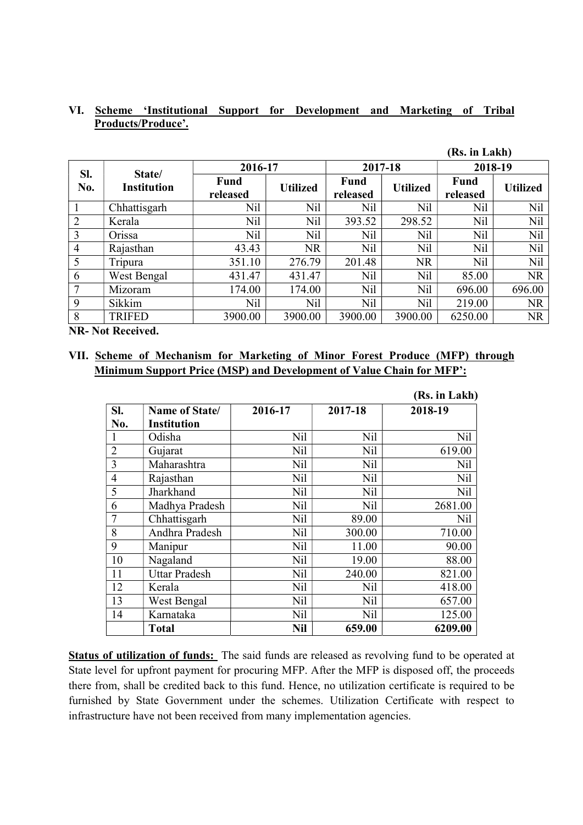| (Rs. in Lakh)  |                    |                         |                 |                  |                 |                  |                 |  |  |  |
|----------------|--------------------|-------------------------|-----------------|------------------|-----------------|------------------|-----------------|--|--|--|
| SI.            | State/             | 2016-17                 |                 | 2017-18          |                 | 2018-19          |                 |  |  |  |
| No.            | <b>Institution</b> | <b>Fund</b><br>released | <b>Utilized</b> | Fund<br>released | <b>Utilized</b> | Fund<br>released | <b>Utilized</b> |  |  |  |
|                | Chhattisgarh       | Nil                     | Nil             | Nil              | Nil             | Nil              | Nil             |  |  |  |
| $\overline{2}$ | Kerala             | Nil                     | Nil             | 393.52           | 298.52          | Nil              | Nil             |  |  |  |
| 3              | Orissa             | Nil                     | Nil             | Nil              | Nil             | Nil              | Nil             |  |  |  |
| $\overline{4}$ | Rajasthan          | 43.43                   | <b>NR</b>       | Nil              | <b>Nil</b>      | Nil              | Nil             |  |  |  |
| 5              | Tripura            | 351.10                  | 276.79          | 201.48           | <b>NR</b>       | Nil              | Nil             |  |  |  |
| 6              | West Bengal        | 431.47                  | 431.47          | Nil              | Nil             | 85.00            | <b>NR</b>       |  |  |  |
|                | Mizoram            | 174.00                  | 174.00          | Nil              | Nil             | 696.00           | 696.00          |  |  |  |
| 9              | Sikkim             | Nil                     | Nil             | Nil              | Nil             | 219.00           | <b>NR</b>       |  |  |  |
| 8              | <b>TRIFED</b>      | 3900.00                 | 3900.00         | 3900.00          | 3900.00         | 6250.00          | <b>NR</b>       |  |  |  |

### VI. Scheme 'Institutional Support for Development and Marketing of Tribal Products/Produce'.

NR- Not Received.

### VII. Scheme of Mechanism for Marketing of Minor Forest Produce (MFP) through Minimum Support Price (MSP) and Development of Value Chain for MFP':

|                |                                     |            |         | (Rs. in Lakh) |
|----------------|-------------------------------------|------------|---------|---------------|
| SI.<br>No.     | Name of State<br><b>Institution</b> | 2016-17    | 2017-18 | 2018-19       |
|                | Odisha                              | Nil        | Nil     | Nil           |
| $\overline{2}$ | Gujarat                             | Nil        | Nil     | 619.00        |
| $\overline{3}$ | Maharashtra                         | Nil        | Nil     | Nil           |
| $\overline{4}$ | Rajasthan                           | Nil        | Nil     | Nil           |
| 5              | Jharkhand                           | Nil        | Nil     | Nil           |
| 6              | Madhya Pradesh                      | Nil        | Nil     | 2681.00       |
| 7              | Chhattisgarh                        | Nil        | 89.00   | Nil           |
| 8              | Andhra Pradesh                      | Nil        | 300.00  | 710.00        |
| 9              | Manipur                             | Nil        | 11.00   | 90.00         |
| 10             | Nagaland                            | Nil        | 19.00   | 88.00         |
| 11             | <b>Uttar Pradesh</b>                | <b>Nil</b> | 240.00  | 821.00        |
| 12             | Kerala                              | Nil        | Nil     | 418.00        |
| 13             | West Bengal                         | Nil        | Nil     | 657.00        |
| 14             | Karnataka                           | Nil        | Nil     | 125.00        |
|                | Total                               | Nil        | 659.00  | 6209.00       |

Status of utilization of funds: The said funds are released as revolving fund to be operated at State level for upfront payment for procuring MFP. After the MFP is disposed off, the proceeds there from, shall be credited back to this fund. Hence, no utilization certificate is required to be furnished by State Government under the schemes. Utilization Certificate with respect to infrastructure have not been received from many implementation agencies.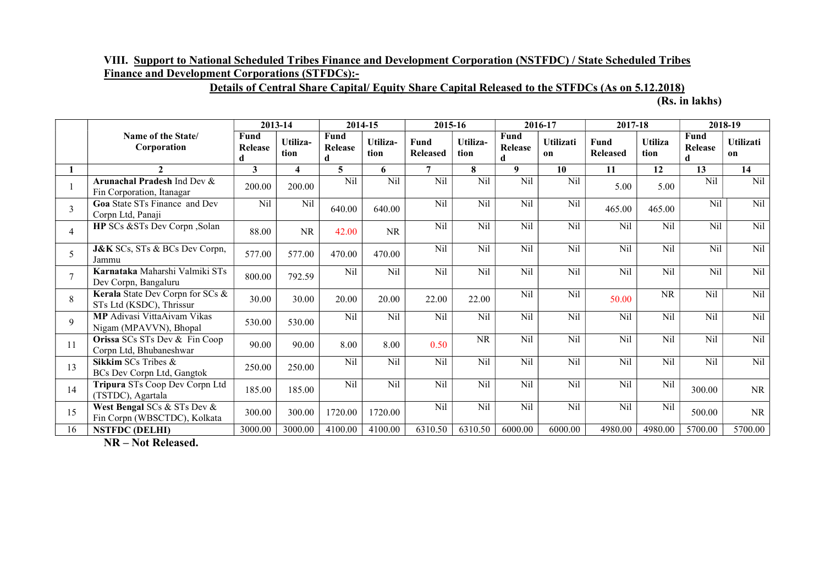# VIII. Support to National Scheduled Tribes Finance and Development Corporation (NSTFDC) / State Scheduled Tribes Finance and Development Corporations (STFDCs):-

# Details of Central Share Capital/ Equity Share Capital Released to the STFDCs (As on 5.12.2018)

(Rs. in lakhs)

|                 |                                                              |                      | 2013-14                 | 2014-15              |                  | 2015-16                        |                  |                             | 2016-17         |                         | 2017-18                |                      | 2018-19                |  |
|-----------------|--------------------------------------------------------------|----------------------|-------------------------|----------------------|------------------|--------------------------------|------------------|-----------------------------|-----------------|-------------------------|------------------------|----------------------|------------------------|--|
|                 | Name of the State/<br>Corporation                            | Fund<br>Release<br>d | Utiliza-<br>tion        | Fund<br>Release<br>d | Utiliza-<br>tion | <b>Fund</b><br><b>Released</b> | Utiliza-<br>tion | Fund<br><b>Release</b><br>d | Utilizati<br>on | Fund<br><b>Released</b> | <b>Utiliza</b><br>tion | Fund<br>Release<br>d | <b>Utilizati</b><br>on |  |
|                 | $\mathbf{2}$                                                 | 3                    | $\overline{\mathbf{4}}$ | 5                    | 6                | $\overline{7}$                 | 8                | 9                           | 10              | 11                      | 12                     | 13                   | 14                     |  |
|                 | Arunachal Pradesh Ind Dev &<br>Fin Corporation, Itanagar     | 200.00               | 200.00                  | Nil                  | Nil              | Nil                            | Nil              | Nil                         | Nil             | 5.00                    | 5.00                   | Nil                  | Nil                    |  |
| 3               | <b>Goa</b> State STs Finance and Dev<br>Corpn Ltd, Panaji    | Nil                  | Nil                     | 640.00               | 640.00           | Nil                            | Nil              | Nil                         | Nil             | 465.00                  | 465.00                 | N <sub>i</sub> l     | Nil                    |  |
| $\overline{4}$  | HP SCs &STs Dev Corpn, Solan                                 | 88.00                | NR                      | 42.00                | <b>NR</b>        | Nil                            | Nil              | Nil                         | Nil             | Nil                     | Nil                    | Nil                  | Nil                    |  |
| 5               | <b>J&amp;K</b> SCs, STs & BCs Dev Corpn,<br>Jammu            | 577.00               | 577.00                  | 470.00               | 470.00           | Nil                            | Nil              | Nil                         | Nil             | Nil                     | Nil                    | Nil                  | Nil                    |  |
| $\overline{7}$  | Karnataka Maharshi Valmiki STs<br>Dev Corpn, Bangaluru       | 800.00               | 792.59                  | Nil                  | Nil              | Nil                            | Nil              | Nil                         | Nil             | Nil                     | Nil                    | Nil                  | Nil                    |  |
| 8               | Kerala State Dev Corpn for SCs &<br>STs Ltd (KSDC), Thrissur | 30.00                | 30.00                   | 20.00                | 20.00            | 22.00                          | 22.00            | Nil                         | Nil             | 50.00                   | <b>NR</b>              | Nil                  | Nil                    |  |
| 9               | MP Adivasi VittaAivam Vikas<br>Nigam (MPAVVN), Bhopal        | 530.00               | 530.00                  | Nil                  | Nil              | Nil                            | Nil              | Nil                         | Nil             | Nil                     | Nil                    | Nil                  | Nil                    |  |
| 11              | Orissa SCs STs Dev & Fin Coop<br>Corpn Ltd, Bhubaneshwar     | 90.00                | 90.00                   | 8.00                 | 8.00             | 0.50                           | <b>NR</b>        | Nil                         | Nil             | Nil                     | Nil                    | Nil                  | Nil                    |  |
| 13              | Sikkim SCs Tribes &<br>BCs Dev Corpn Ltd, Gangtok            | 250.00               | 250.00                  | Nil                  | Nil              | Nil                            | $\overline{Nil}$ | $\overline{Nil}$            | Nil             | Nil                     | Nil                    | Nil                  | Nil                    |  |
| 14              | Tripura STs Coop Dev Corpn Ltd<br>(TSTDC), Agartala          | 185.00               | 185.00                  | Nil                  | Nil              | Nil                            | Nil              | Nil                         | Nil             | Nil                     | Nil                    | 300.00               | NR                     |  |
| 15              | West Bengal SCs & STs Dev &<br>Fin Corpn (WBSCTDC), Kolkata  | 300.00               | 300.00                  | 1720.00              | 1720.00          | Nil                            | Nil              | Nil                         | Nil             | Nil                     | N <sub>il</sub>        | 500.00               | NR                     |  |
| $1\overline{6}$ | <b>NSTFDC (DELHI)</b>                                        | 3000.00              | 3000.00                 | 4100.00              | 4100.00          | 6310.50                        | 6310.50          | 6000.00                     | 6000.00         | 4980.00                 | 4980.00                | 5700.00              | 5700.00                |  |

NR – Not Released.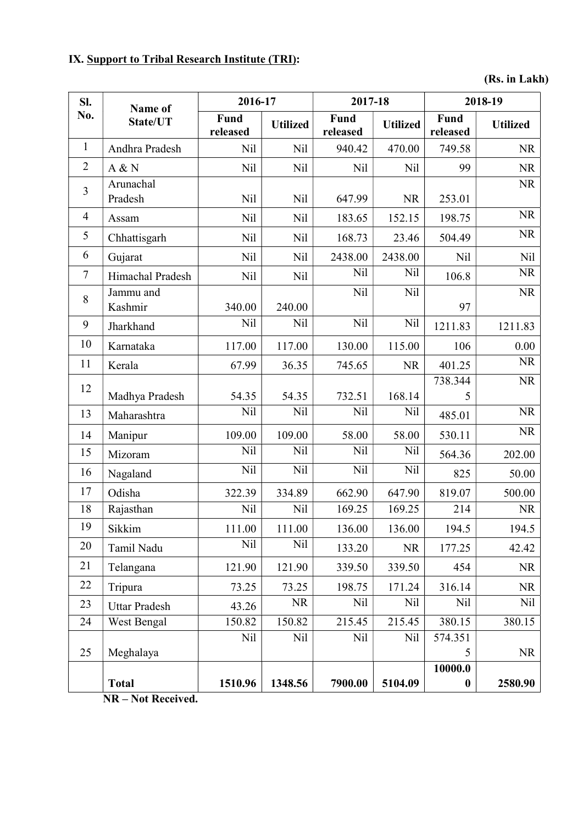# IX. Support to Tribal Research Institute (TRI):

(Rs. in Lakh)

| SI.            | Name of<br>State/UT  | 2016-17          |                 | 2017-18                 |                 | 2018-19                     |                 |
|----------------|----------------------|------------------|-----------------|-------------------------|-----------------|-----------------------------|-----------------|
| No.            |                      | Fund<br>released | <b>Utilized</b> | <b>Fund</b><br>released | <b>Utilized</b> | Fund<br>released            | <b>Utilized</b> |
| $\mathbf{1}$   | Andhra Pradesh       | Nil              | Nil             | 940.42                  | 470.00          | 749.58                      | <b>NR</b>       |
| $\overline{2}$ | A & N                | Nil              | Nil             | Nil                     | Nil             | 99                          | <b>NR</b>       |
| 3              | Arunachal            |                  |                 |                         |                 |                             | <b>NR</b>       |
|                | Pradesh              | Nil              | Nil             | 647.99                  | <b>NR</b>       | 253.01                      |                 |
| 4              | Assam                | Nil              | Nil             | 183.65                  | 152.15          | 198.75                      | <b>NR</b>       |
| 5              | Chhattisgarh         | Nil              | Nil             | 168.73                  | 23.46           | 504.49                      | <b>NR</b>       |
| 6              | Gujarat              | Nil              | Nil             | 2438.00                 | 2438.00         | Nil                         | <b>Nil</b>      |
| 7              | Himachal Pradesh     | Nil              | Nil             | Nil                     | Nil             | 106.8                       | <b>NR</b>       |
| $8\,$          | Jammu and            |                  |                 | Nil                     | Nil             |                             | <b>NR</b>       |
|                | Kashmir              | 340.00           | 240.00          |                         |                 | 97                          |                 |
| 9              | Jharkhand            | Nil              | Nil             | Nil                     | Nil             | 1211.83                     | 1211.83         |
| 10             | Karnataka            | 117.00           | 117.00          | 130.00                  | 115.00          | 106                         | 0.00            |
| 11             | Kerala               | 67.99            | 36.35           | 745.65                  | <b>NR</b>       | 401.25                      | <b>NR</b>       |
| 12             |                      |                  |                 |                         |                 | 738.344                     | <b>NR</b>       |
|                | Madhya Pradesh       | 54.35            | 54.35           | 732.51                  | 168.14          | 5                           |                 |
| 13             | Maharashtra          | Nil              | Nil             | Nil                     | Nil             | 485.01                      | <b>NR</b>       |
| 14             | Manipur              | 109.00           | 109.00          | 58.00                   | 58.00           | 530.11                      | <b>NR</b>       |
| 15             | Mizoram              | Nil              | Nil             | Nil                     | Nil             | 564.36                      | 202.00          |
| 16             | Nagaland             | Nil              | Nil             | Nil                     | Nil             | 825                         | 50.00           |
| 17             | Odisha               | 322.39           | 334.89          | 662.90                  | 647.90          | 819.07                      | 500.00          |
| 18             | Rajasthan            | Nil              | Nil             | 169.25                  | 169.25          | 214                         | <b>NR</b>       |
| 19             | Sikkim               | 111.00           | 111.00          | 136.00                  | 136.00          | 194.5                       | 194.5           |
| 20             | Tamil Nadu           | Nil              | Nil             | 133.20                  | <b>NR</b>       | 177.25                      | 42.42           |
| 21             | Telangana            | 121.90           | 121.90          | 339.50                  | 339.50          | 454                         | <b>NR</b>       |
| 22             | Tripura              | 73.25            | 73.25           | 198.75                  | 171.24          | 316.14                      | <b>NR</b>       |
| 23             | <b>Uttar Pradesh</b> | 43.26            | <b>NR</b>       | Nil                     | Nil             | Nil                         | Nil             |
| 24             | West Bengal          | 150.82           | 150.82          | 215.45                  | 215.45          | 380.15                      | 380.15          |
|                |                      | Nil              | Nil             | Nil                     | Nil             | 574.351                     |                 |
| 25             | Meghalaya            |                  |                 |                         |                 | 5                           | <b>NR</b>       |
|                | <b>Total</b>         | 1510.96          | 1348.56         | 7900.00                 | 5104.09         | 10000.0<br>$\boldsymbol{0}$ | 2580.90         |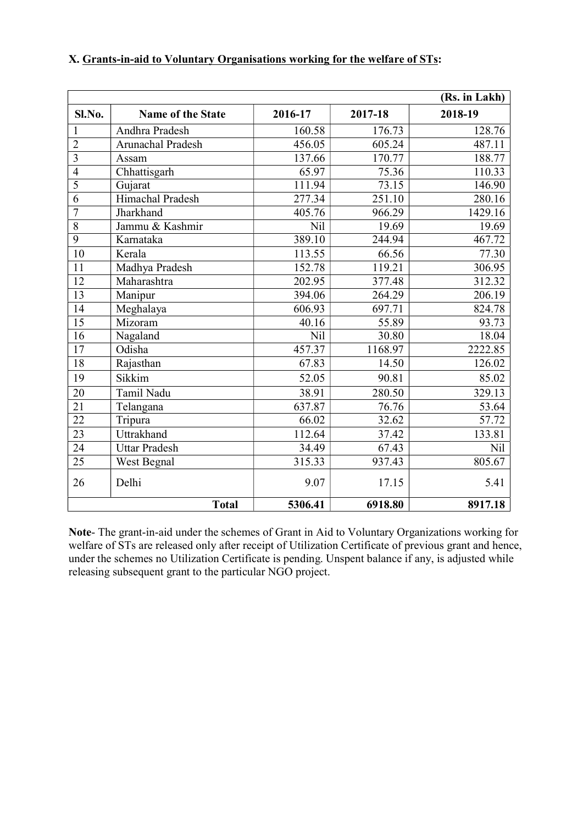|                 |                          |         |                     | (Rs. in Lakh) |
|-----------------|--------------------------|---------|---------------------|---------------|
| Sl.No.          | <b>Name of the State</b> | 2016-17 | 2017-18             | 2018-19       |
| 1               | Andhra Pradesh           | 160.58  | 176.73              | 128.76        |
| $\overline{c}$  | Arunachal Pradesh        | 456.05  | 605.24              | 487.11        |
| $\overline{3}$  | Assam                    | 137.66  | 170.77              | 188.77        |
| $\overline{4}$  | Chhattisgarh             | 65.97   | 75.36               | 110.33        |
| $\overline{5}$  | Gujarat                  | 111.94  | 73.15               | 146.90        |
| 6               | <b>Himachal Pradesh</b>  | 277.34  | 251.10              | 280.16        |
| 7               | Jharkhand                | 405.76  | $\overline{966.29}$ | 1429.16       |
| $\overline{8}$  | Jammu & Kashmir          | Nil     | 19.69               | 19.69         |
| $\overline{9}$  | Karnataka                | 389.10  | 244.94              | 467.72        |
| 10              | Kerala                   | 113.55  | 66.56               | 77.30         |
| 11              | Madhya Pradesh           | 152.78  | 119.21              | 306.95        |
| 12              | Maharashtra              | 202.95  | 377.48              | 312.32        |
| $\overline{13}$ | Manipur                  | 394.06  | 264.29              | 206.19        |
| 14              | Meghalaya                | 606.93  | 697.71              | 824.78        |
| $\overline{15}$ | Mizoram                  | 40.16   | 55.89               | 93.73         |
| 16              | Nagaland                 | Nil     | 30.80               | 18.04         |
| 17              | Odisha                   | 457.37  | 1168.97             | 2222.85       |
| 18              | Rajasthan                | 67.83   | 14.50               | 126.02        |
| 19              | Sikkim                   | 52.05   | 90.81               | 85.02         |
| 20              | Tamil Nadu               | 38.91   | 280.50              | 329.13        |
| 21              | Telangana                | 637.87  | 76.76               | 53.64         |
| $\overline{22}$ | Tripura                  | 66.02   | 32.62               | 57.72         |
| 23              | Uttrakhand               | 112.64  | 37.42               | 133.81        |
| 24              | <b>Uttar Pradesh</b>     | 34.49   | 67.43               | Nil           |
| 25              | West Begnal              | 315.33  | 937.43              | 805.67        |
| 26              | Delhi                    | 9.07    | 17.15               | 5.41          |
|                 | <b>Total</b>             | 5306.41 | 6918.80             | 8917.18       |

### X. Grants-in-aid to Voluntary Organisations working for the welfare of STs:

Note- The grant-in-aid under the schemes of Grant in Aid to Voluntary Organizations working for welfare of STs are released only after receipt of Utilization Certificate of previous grant and hence, under the schemes no Utilization Certificate is pending. Unspent balance if any, is adjusted while releasing subsequent grant to the particular NGO project.